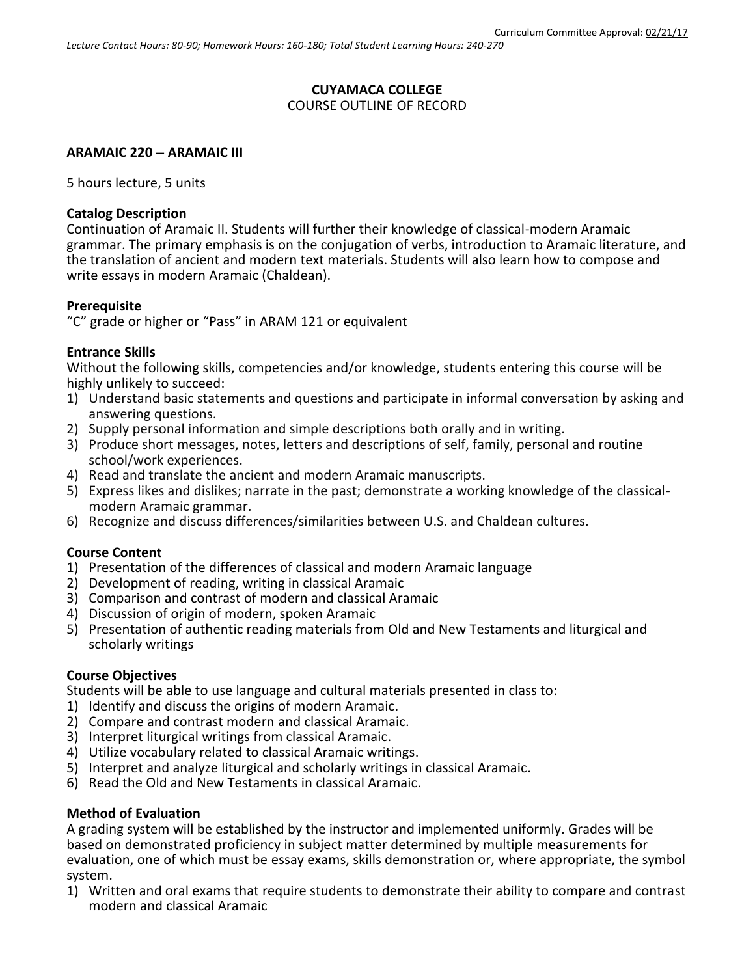## **CUYAMACA COLLEGE** COURSE OUTLINE OF RECORD

## **ARAMAIC 220 ARAMAIC III**

5 hours lecture, 5 units

## **Catalog Description**

Continuation of Aramaic II. Students will further their knowledge of classical-modern Aramaic grammar. The primary emphasis is on the conjugation of verbs, introduction to Aramaic literature, and the translation of ancient and modern text materials. Students will also learn how to compose and write essays in modern Aramaic (Chaldean).

### **Prerequisite**

"C" grade or higher or "Pass" in ARAM 121 or equivalent

## **Entrance Skills**

Without the following skills, competencies and/or knowledge, students entering this course will be highly unlikely to succeed:

- 1) Understand basic statements and questions and participate in informal conversation by asking and answering questions.
- 2) Supply personal information and simple descriptions both orally and in writing.
- 3) Produce short messages, notes, letters and descriptions of self, family, personal and routine school/work experiences.
- 4) Read and translate the ancient and modern Aramaic manuscripts.
- 5) Express likes and dislikes; narrate in the past; demonstrate a working knowledge of the classicalmodern Aramaic grammar.
- 6) Recognize and discuss differences/similarities between U.S. and Chaldean cultures.

## **Course Content**

- 1) Presentation of the differences of classical and modern Aramaic language
- 2) Development of reading, writing in classical Aramaic
- 3) Comparison and contrast of modern and classical Aramaic
- 4) Discussion of origin of modern, spoken Aramaic
- 5) Presentation of authentic reading materials from Old and New Testaments and liturgical and scholarly writings

#### **Course Objectives**

Students will be able to use language and cultural materials presented in class to:

- 1) Identify and discuss the origins of modern Aramaic.
- 2) Compare and contrast modern and classical Aramaic.
- 3) Interpret liturgical writings from classical Aramaic.
- 4) Utilize vocabulary related to classical Aramaic writings.
- 5) Interpret and analyze liturgical and scholarly writings in classical Aramaic.
- 6) Read the Old and New Testaments in classical Aramaic.

## **Method of Evaluation**

A grading system will be established by the instructor and implemented uniformly. Grades will be based on demonstrated proficiency in subject matter determined by multiple measurements for evaluation, one of which must be essay exams, skills demonstration or, where appropriate, the symbol system.

1) Written and oral exams that require students to demonstrate their ability to compare and contrast modern and classical Aramaic